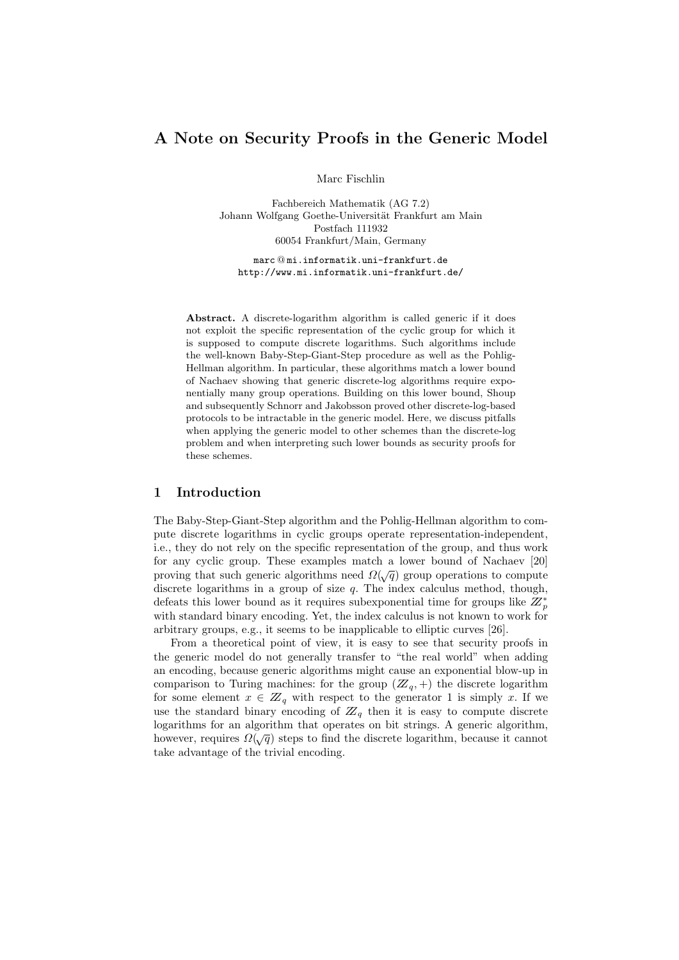# A Note on Security Proofs in the Generic Model

Marc Fischlin

Fachbereich Mathematik (AG 7.2) Johann Wolfgang Goethe-Universität Frankfurt am Main Postfach 111932 60054 Frankfurt/Main, Germany

marc @ mi.informatik.uni-frankfurt.de http://www.mi.informatik.uni-frankfurt.de/

Abstract. A discrete-logarithm algorithm is called generic if it does not exploit the specific representation of the cyclic group for which it is supposed to compute discrete logarithms. Such algorithms include the well-known Baby-Step-Giant-Step procedure as well as the Pohlig-Hellman algorithm. In particular, these algorithms match a lower bound of Nachaev showing that generic discrete-log algorithms require exponentially many group operations. Building on this lower bound, Shoup and subsequently Schnorr and Jakobsson proved other discrete-log-based protocols to be intractable in the generic model. Here, we discuss pitfalls when applying the generic model to other schemes than the discrete-log problem and when interpreting such lower bounds as security proofs for these schemes.

# 1 Introduction

The Baby-Step-Giant-Step algorithm and the Pohlig-Hellman algorithm to compute discrete logarithms in cyclic groups operate representation-independent, i.e., they do not rely on the specific representation of the group, and thus work for any cyclic group. These examples match a lower bound of Nachaev [20] proving that such generic algorithms need  $\Omega(\sqrt{q})$  group operations to compute discrete logarithms in a group of size  $q$ . The index calculus method, though, defeats this lower bound as it requires subexponential time for groups like  $\overline{Z}_{p}^{*}$ with standard binary encoding. Yet, the index calculus is not known to work for arbitrary groups, e.g., it seems to be inapplicable to elliptic curves [26].

From a theoretical point of view, it is easy to see that security proofs in the generic model do not generally transfer to "the real world" when adding an encoding, because generic algorithms might cause an exponential blow-up in comparison to Turing machines: for the group  $(Z_q, +)$  the discrete logarithm for some element  $x \in \mathbb{Z}_q$  with respect to the generator 1 is simply x. If we use the standard binary encoding of  $\mathbb{Z}_q$  then it is easy to compute discrete logarithms for an algorithm that operates on bit strings. A generic algorithm, however, requires  $\Omega(\sqrt{q})$  steps to find the discrete logarithm, because it cannot take advantage of the trivial encoding.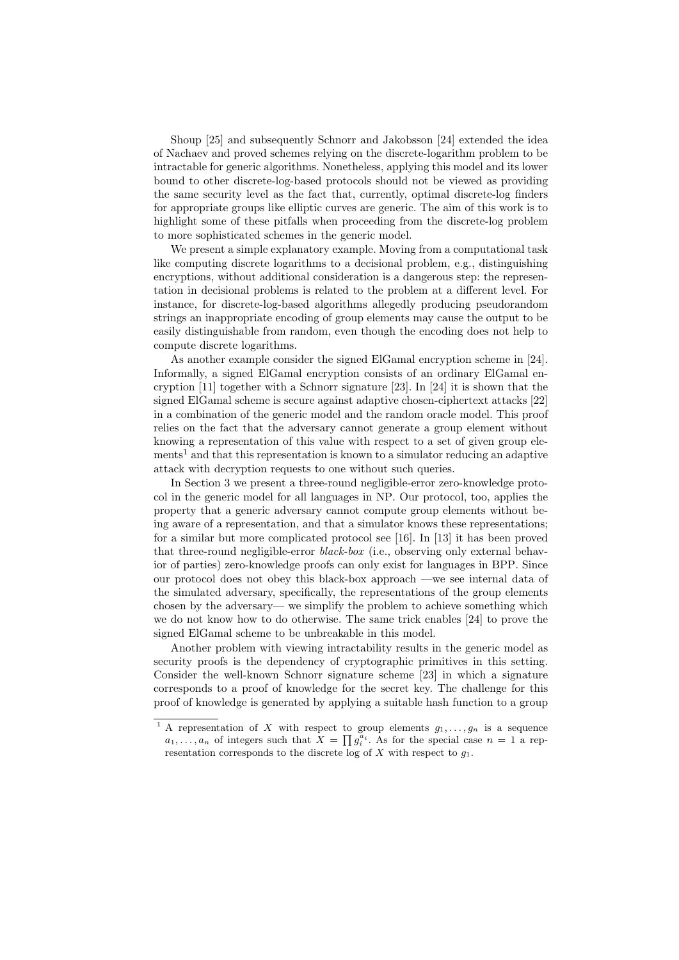Shoup [25] and subsequently Schnorr and Jakobsson [24] extended the idea of Nachaev and proved schemes relying on the discrete-logarithm problem to be intractable for generic algorithms. Nonetheless, applying this model and its lower bound to other discrete-log-based protocols should not be viewed as providing the same security level as the fact that, currently, optimal discrete-log finders for appropriate groups like elliptic curves are generic. The aim of this work is to highlight some of these pitfalls when proceeding from the discrete-log problem to more sophisticated schemes in the generic model.

We present a simple explanatory example. Moving from a computational task like computing discrete logarithms to a decisional problem, e.g., distinguishing encryptions, without additional consideration is a dangerous step: the representation in decisional problems is related to the problem at a different level. For instance, for discrete-log-based algorithms allegedly producing pseudorandom strings an inappropriate encoding of group elements may cause the output to be easily distinguishable from random, even though the encoding does not help to compute discrete logarithms.

As another example consider the signed ElGamal encryption scheme in [24]. Informally, a signed ElGamal encryption consists of an ordinary ElGamal encryption [11] together with a Schnorr signature [23]. In [24] it is shown that the signed ElGamal scheme is secure against adaptive chosen-ciphertext attacks [22] in a combination of the generic model and the random oracle model. This proof relies on the fact that the adversary cannot generate a group element without knowing a representation of this value with respect to a set of given group elements<sup>1</sup> and that this representation is known to a simulator reducing an adaptive attack with decryption requests to one without such queries.

In Section 3 we present a three-round negligible-error zero-knowledge protocol in the generic model for all languages in NP. Our protocol, too, applies the property that a generic adversary cannot compute group elements without being aware of a representation, and that a simulator knows these representations; for a similar but more complicated protocol see [16]. In [13] it has been proved that three-round negligible-error black-box (i.e., observing only external behavior of parties) zero-knowledge proofs can only exist for languages in BPP. Since our protocol does not obey this black-box approach —we see internal data of the simulated adversary, specifically, the representations of the group elements chosen by the adversary— we simplify the problem to achieve something which we do not know how to do otherwise. The same trick enables [24] to prove the signed ElGamal scheme to be unbreakable in this model.

Another problem with viewing intractability results in the generic model as security proofs is the dependency of cryptographic primitives in this setting. Consider the well-known Schnorr signature scheme [23] in which a signature corresponds to a proof of knowledge for the secret key. The challenge for this proof of knowledge is generated by applying a suitable hash function to a group

<sup>&</sup>lt;sup>1</sup> A representation of X with respect to group elements  $g_1, \ldots, g_n$  is a sequence  $a_1, \ldots, a_n$  of integers such that  $X = \prod g_i^{a_i}$ . As for the special case  $n = 1$  a representation corresponds to the discrete log of  $X$  with respect to  $g_1$ .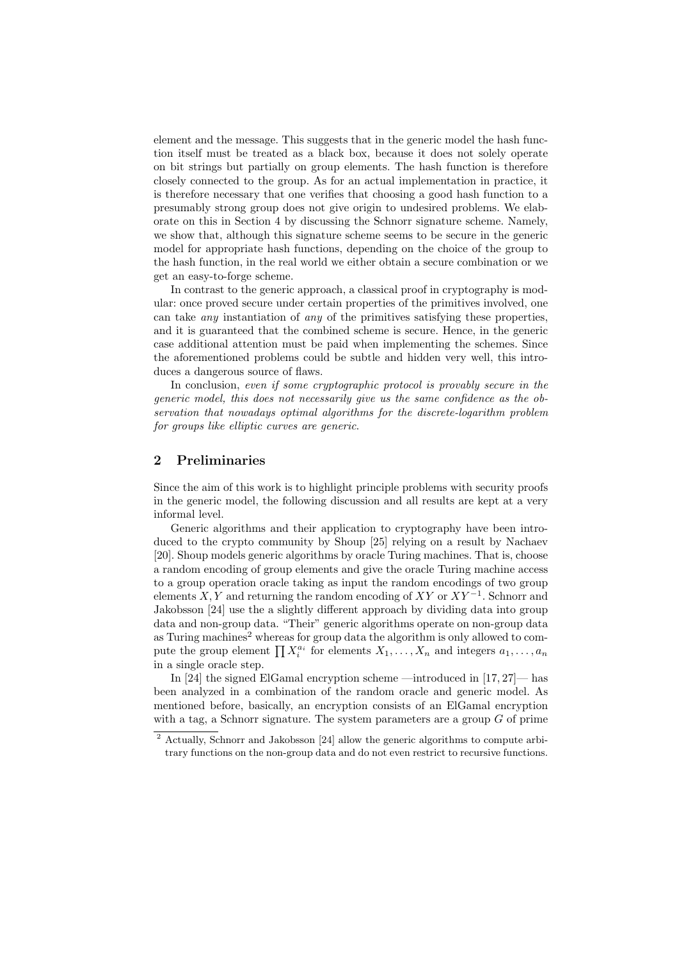element and the message. This suggests that in the generic model the hash function itself must be treated as a black box, because it does not solely operate on bit strings but partially on group elements. The hash function is therefore closely connected to the group. As for an actual implementation in practice, it is therefore necessary that one verifies that choosing a good hash function to a presumably strong group does not give origin to undesired problems. We elaborate on this in Section 4 by discussing the Schnorr signature scheme. Namely, we show that, although this signature scheme seems to be secure in the generic model for appropriate hash functions, depending on the choice of the group to the hash function, in the real world we either obtain a secure combination or we get an easy-to-forge scheme.

In contrast to the generic approach, a classical proof in cryptography is modular: once proved secure under certain properties of the primitives involved, one can take any instantiation of any of the primitives satisfying these properties, and it is guaranteed that the combined scheme is secure. Hence, in the generic case additional attention must be paid when implementing the schemes. Since the aforementioned problems could be subtle and hidden very well, this introduces a dangerous source of flaws.

In conclusion, even if some cryptographic protocol is provably secure in the generic model, this does not necessarily give us the same confidence as the observation that nowadays optimal algorithms for the discrete-logarithm problem for groups like elliptic curves are generic.

### 2 Preliminaries

Since the aim of this work is to highlight principle problems with security proofs in the generic model, the following discussion and all results are kept at a very informal level.

Generic algorithms and their application to cryptography have been introduced to the crypto community by Shoup [25] relying on a result by Nachaev [20]. Shoup models generic algorithms by oracle Turing machines. That is, choose a random encoding of group elements and give the oracle Turing machine access to a group operation oracle taking as input the random encodings of two group elements X, Y and returning the random encoding of XY or  $XY^{-1}$ . Schnorr and Jakobsson [24] use the a slightly different approach by dividing data into group data and non-group data. "Their" generic algorithms operate on non-group data as Turing machines<sup>2</sup> whereas for group data the algorithm is only allowed to compute the group element  $\prod X_i^{a_i}$  for elements  $X_1, \ldots, X_n$  and integers  $a_1, \ldots, a_n$ in a single oracle step.

In [24] the signed ElGamal encryption scheme —introduced in [17, 27]— has been analyzed in a combination of the random oracle and generic model. As mentioned before, basically, an encryption consists of an ElGamal encryption with a tag, a Schnorr signature. The system parameters are a group  $G$  of prime

<sup>2</sup> Actually, Schnorr and Jakobsson [24] allow the generic algorithms to compute arbitrary functions on the non-group data and do not even restrict to recursive functions.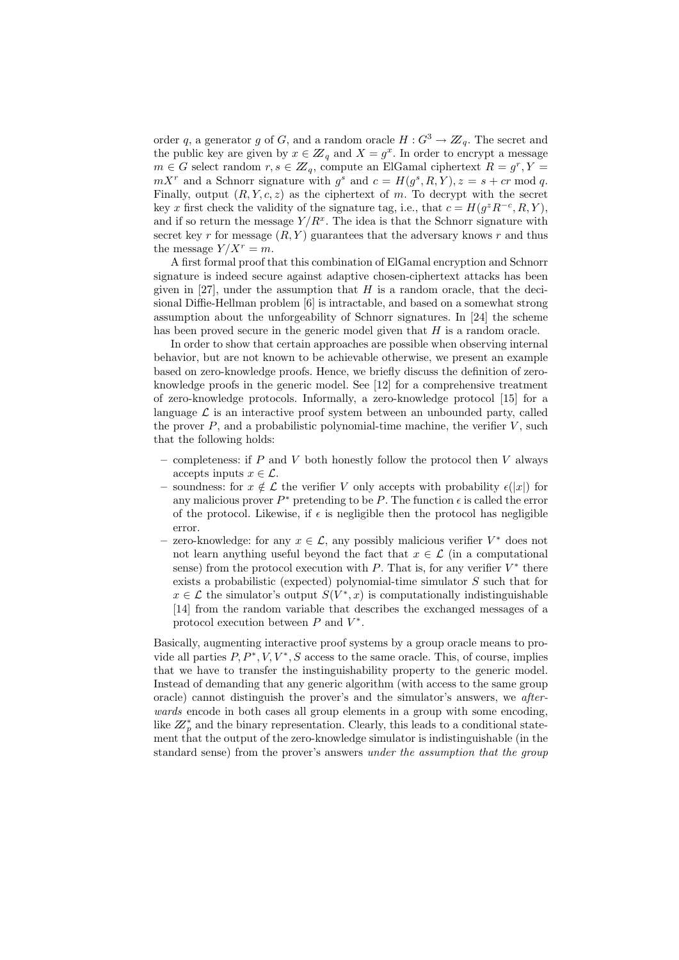order q, a generator g of G, and a random oracle  $H: G^3 \to \mathbb{Z}_q$ . The secret and the public key are given by  $x \in \mathbb{Z}_q$  and  $X = g^x$ . In order to encrypt a message  $m \in G$  select random  $r, s \in \mathbb{Z}_q$ , compute an ElGamal ciphertext  $R = g^r, Y =$  $mX^{r}$  and a Schnorr signature with  $g^{s}$  and  $c = H(g^{s}, R, Y), z = s + cr \mod q$ . Finally, output  $(R, Y, c, z)$  as the ciphertext of m. To decrypt with the secret key x first check the validity of the signature tag, i.e., that  $c = H(g^z R^{-c}, R, Y)$ , and if so return the message  $Y/R<sup>x</sup>$ . The idea is that the Schnorr signature with secret key r for message  $(R, Y)$  guarantees that the adversary knows r and thus the message  $Y/X^r = m$ .

A first formal proof that this combination of ElGamal encryption and Schnorr signature is indeed secure against adaptive chosen-ciphertext attacks has been given in [27], under the assumption that  $H$  is a random oracle, that the decisional Diffie-Hellman problem [6] is intractable, and based on a somewhat strong assumption about the unforgeability of Schnorr signatures. In [24] the scheme has been proved secure in the generic model given that  $H$  is a random oracle.

In order to show that certain approaches are possible when observing internal behavior, but are not known to be achievable otherwise, we present an example based on zero-knowledge proofs. Hence, we briefly discuss the definition of zeroknowledge proofs in the generic model. See [12] for a comprehensive treatment of zero-knowledge protocols. Informally, a zero-knowledge protocol [15] for a language  $\mathcal L$  is an interactive proof system between an unbounded party, called the prover  $P$ , and a probabilistic polynomial-time machine, the verifier  $V$ , such that the following holds:

- completeness: if  $P$  and  $V$  both honestly follow the protocol then  $V$  always accepts inputs  $x \in \mathcal{L}$ .
- soundness: for  $x \notin \mathcal{L}$  the verifier V only accepts with probability  $\epsilon(|x|)$  for any malicious prover  $P^*$  pretending to be P. The function  $\epsilon$  is called the error of the protocol. Likewise, if  $\epsilon$  is negligible then the protocol has negligible error.
- − zero-knowledge: for any  $x \in \mathcal{L}$ , any possibly malicious verifier  $V^*$  does not not learn anything useful beyond the fact that  $x \in \mathcal{L}$  (in a computational sense) from the protocol execution with  $P$ . That is, for any verifier  $V^*$  there exists a probabilistic (expected) polynomial-time simulator S such that for  $x \in \mathcal{L}$  the simulator's output  $S(V^*, x)$  is computationally indistinguishable [14] from the random variable that describes the exchanged messages of a protocol execution between  $P$  and  $V^*$ .

Basically, augmenting interactive proof systems by a group oracle means to provide all parties  $P, P^*, V, V^*, S$  access to the same oracle. This, of course, implies that we have to transfer the instinguishability property to the generic model. Instead of demanding that any generic algorithm (with access to the same group oracle) cannot distinguish the prover's and the simulator's answers, we afterwards encode in both cases all group elements in a group with some encoding, like  $\mathbb{Z}_p^*$  and the binary representation. Clearly, this leads to a conditional statement that the output of the zero-knowledge simulator is indistinguishable (in the standard sense) from the prover's answers under the assumption that the group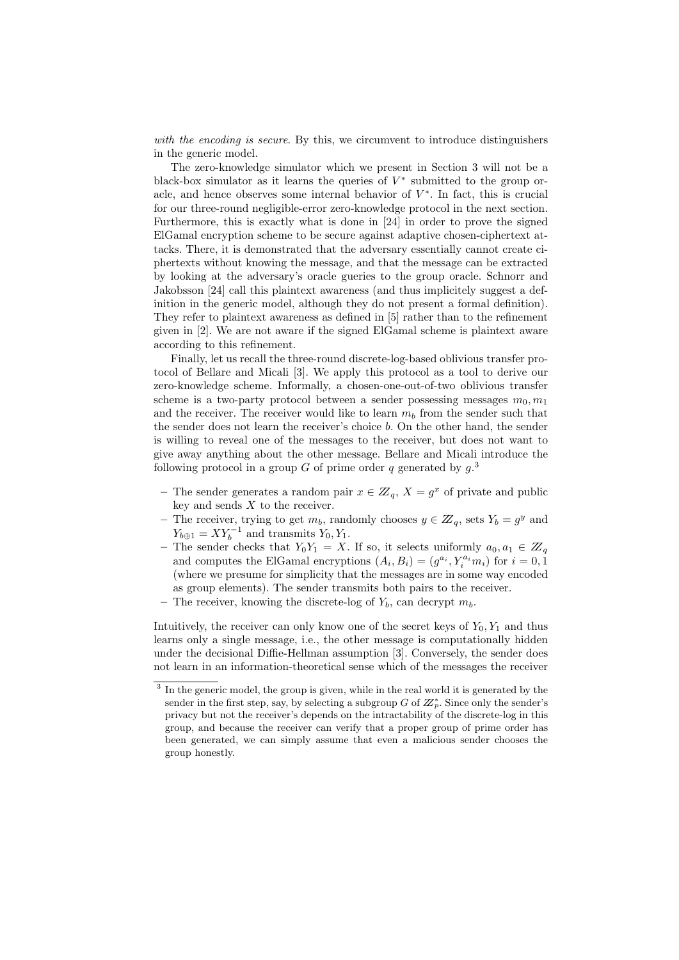with the encoding is secure. By this, we circumvent to introduce distinguishers in the generic model.

The zero-knowledge simulator which we present in Section 3 will not be a black-box simulator as it learns the queries of  $V^*$  submitted to the group oracle, and hence observes some internal behavior of  $V^*$ . In fact, this is crucial for our three-round negligible-error zero-knowledge protocol in the next section. Furthermore, this is exactly what is done in [24] in order to prove the signed ElGamal encryption scheme to be secure against adaptive chosen-ciphertext attacks. There, it is demonstrated that the adversary essentially cannot create ciphertexts without knowing the message, and that the message can be extracted by looking at the adversary's oracle gueries to the group oracle. Schnorr and Jakobsson [24] call this plaintext awareness (and thus implicitely suggest a definition in the generic model, although they do not present a formal definition). They refer to plaintext awareness as defined in [5] rather than to the refinement given in [2]. We are not aware if the signed ElGamal scheme is plaintext aware according to this refinement.

Finally, let us recall the three-round discrete-log-based oblivious transfer protocol of Bellare and Micali [3]. We apply this protocol as a tool to derive our zero-knowledge scheme. Informally, a chosen-one-out-of-two oblivious transfer scheme is a two-party protocol between a sender possessing messages  $m_0, m_1$ and the receiver. The receiver would like to learn  $m_b$  from the sender such that the sender does not learn the receiver's choice b. On the other hand, the sender is willing to reveal one of the messages to the receiver, but does not want to give away anything about the other message. Bellare and Micali introduce the following protocol in a group G of prime order q generated by  $g^3$ .

- The sender generates a random pair  $x \in \mathbb{Z}_q$ ,  $X = g^x$  of private and public key and sends  $X$  to the receiver.
- The receiver, trying to get  $m_b$ , randomly chooses  $y \in \mathbb{Z}_q$ , sets  $Y_b = g^y$  and  $Y_{b\oplus 1} = XY_b^{-1}$  and transmits  $Y_0, Y_1$ .
- The sender checks that  $Y_0Y_1 = X$ . If so, it selects uniformly  $a_0, a_1 \in \mathbb{Z}_q$ and computes the ElGamal encryptions  $(A_i, B_i) = (g^{a_i}, Y_i^{a_i}m_i)$  for  $i = 0, 1$ (where we presume for simplicity that the messages are in some way encoded as group elements). The sender transmits both pairs to the receiver.
- The receiver, knowing the discrete-log of  $Y_b$ , can decrypt  $m_b$ .

Intuitively, the receiver can only know one of the secret keys of  $Y_0, Y_1$  and thus learns only a single message, i.e., the other message is computationally hidden under the decisional Diffie-Hellman assumption [3]. Conversely, the sender does not learn in an information-theoretical sense which of the messages the receiver

<sup>&</sup>lt;sup>3</sup> In the generic model, the group is given, while in the real world it is generated by the sender in the first step, say, by selecting a subgroup G of  $\mathbb{Z}_p^*$ . Since only the sender's privacy but not the receiver's depends on the intractability of the discrete-log in this group, and because the receiver can verify that a proper group of prime order has been generated, we can simply assume that even a malicious sender chooses the group honestly.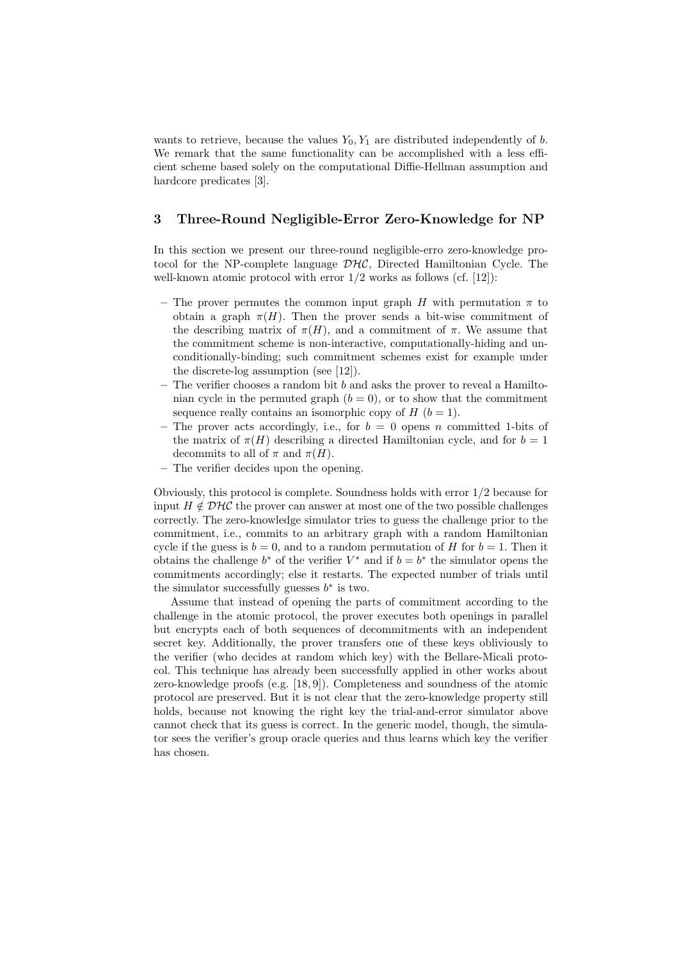wants to retrieve, because the values  $Y_0, Y_1$  are distributed independently of b. We remark that the same functionality can be accomplished with a less efficient scheme based solely on the computational Diffie-Hellman assumption and hardcore predicates [3].

#### 3 Three-Round Negligible-Error Zero-Knowledge for NP

In this section we present our three-round negligible-erro zero-knowledge protocol for the NP-complete language  $\mathcal{DHC}$ , Directed Hamiltonian Cycle. The well-known atomic protocol with error  $1/2$  works as follows (cf. [12]):

- The prover permutes the common input graph H with permutation  $\pi$  to obtain a graph  $\pi(H)$ . Then the prover sends a bit-wise commitment of the describing matrix of  $\pi(H)$ , and a commitment of  $\pi$ . We assume that the commitment scheme is non-interactive, computationally-hiding and unconditionally-binding; such commitment schemes exist for example under the discrete-log assumption (see [12]).
- The verifier chooses a random bit  $b$  and asks the prover to reveal a Hamiltonian cycle in the permuted graph  $(b = 0)$ , or to show that the commitment sequence really contains an isomorphic copy of  $H (b = 1)$ .
- The prover acts accordingly, i.e., for  $b = 0$  opens n committed 1-bits of the matrix of  $\pi(H)$  describing a directed Hamiltonian cycle, and for  $b = 1$ decommits to all of  $\pi$  and  $\pi(H)$ .
- The verifier decides upon the opening.

Obviously, this protocol is complete. Soundness holds with error 1/2 because for input  $H \notin \mathcal{DHC}$  the prover can answer at most one of the two possible challenges correctly. The zero-knowledge simulator tries to guess the challenge prior to the commitment, i.e., commits to an arbitrary graph with a random Hamiltonian cycle if the guess is  $b = 0$ , and to a random permutation of H for  $b = 1$ . Then it obtains the challenge  $b^*$  of the verifier  $V^*$  and if  $b = b^*$  the simulator opens the commitments accordingly; else it restarts. The expected number of trials until the simulator successfully guesses  $b^*$  is two.

Assume that instead of opening the parts of commitment according to the challenge in the atomic protocol, the prover executes both openings in parallel but encrypts each of both sequences of decommitments with an independent secret key. Additionally, the prover transfers one of these keys obliviously to the verifier (who decides at random which key) with the Bellare-Micali protocol. This technique has already been successfully applied in other works about zero-knowledge proofs (e.g. [18, 9]). Completeness and soundness of the atomic protocol are preserved. But it is not clear that the zero-knowledge property still holds, because not knowing the right key the trial-and-error simulator above cannot check that its guess is correct. In the generic model, though, the simulator sees the verifier's group oracle queries and thus learns which key the verifier has chosen.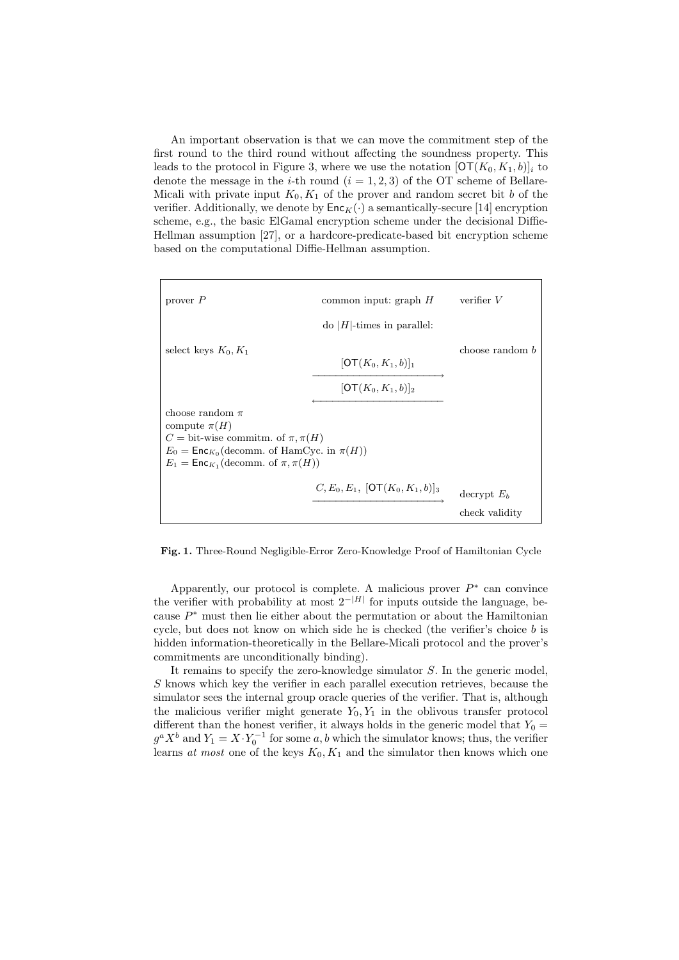An important observation is that we can move the commitment step of the first round to the third round without affecting the soundness property. This leads to the protocol in Figure 3, where we use the notation  $[OT(K_0, K_1, b)]_i$  to denote the message in the *i*-th round  $(i = 1, 2, 3)$  of the OT scheme of Bellare-Micali with private input  $K_0, K_1$  of the prover and random secret bit b of the verifier. Additionally, we denote by  $\mathsf{Enc}_K(\cdot)$  a semantically-secure [14] encryption scheme, e.g., the basic ElGamal encryption scheme under the decisional Diffie-Hellman assumption [27], or a hardcore-predicate-based bit encryption scheme based on the computational Diffie-Hellman assumption.

| prover $P$                                                                                                                                                                                                              | common input: graph $H$                   | verifier $V$                             |
|-------------------------------------------------------------------------------------------------------------------------------------------------------------------------------------------------------------------------|-------------------------------------------|------------------------------------------|
|                                                                                                                                                                                                                         | $\phi$  H -times in parallel:             |                                          |
| select keys $K_0, K_1$                                                                                                                                                                                                  | $[OT(K_0, K_1, b)]_1$                     | choose random b                          |
|                                                                                                                                                                                                                         | $[OT(K_0, K_1, b)]_2$                     |                                          |
| choose random $\pi$<br>compute $\pi(H)$<br>$C = \text{bit-wise commitm. of } \pi, \pi(H)$<br>$E_0 = \text{Enc}_{K_0}(\text{decomm. of HamCyc. in } \pi(H))$<br>$E_1 = \text{Enc}_{K_1}(\text{decomm. of } \pi, \pi(H))$ |                                           |                                          |
|                                                                                                                                                                                                                         | $C, E_0, E_1, [\text{OT}(K_0, K_1, b)]_3$ | decrypt E <sub>b</sub><br>check validity |

Fig. 1. Three-Round Negligible-Error Zero-Knowledge Proof of Hamiltonian Cycle

Apparently, our protocol is complete. A malicious prover  $P^*$  can convince the verifier with probability at most  $2^{-|H|}$  for inputs outside the language, because  $P^*$  must then lie either about the permutation or about the Hamiltonian cycle, but does not know on which side he is checked (the verifier's choice  $b$  is hidden information-theoretically in the Bellare-Micali protocol and the prover's commitments are unconditionally binding).

It remains to specify the zero-knowledge simulator S. In the generic model, S knows which key the verifier in each parallel execution retrieves, because the simulator sees the internal group oracle queries of the verifier. That is, although the malicious verifier might generate  $Y_0, Y_1$  in the oblivous transfer protocol different than the honest verifier, it always holds in the generic model that  $Y_0 =$  $g^a X^b$  and  $Y_1 = X \cdot Y_0^{-1}$  for some a, b which the simulator knows; thus, the verifier learns at most one of the keys  $K_0, K_1$  and the simulator then knows which one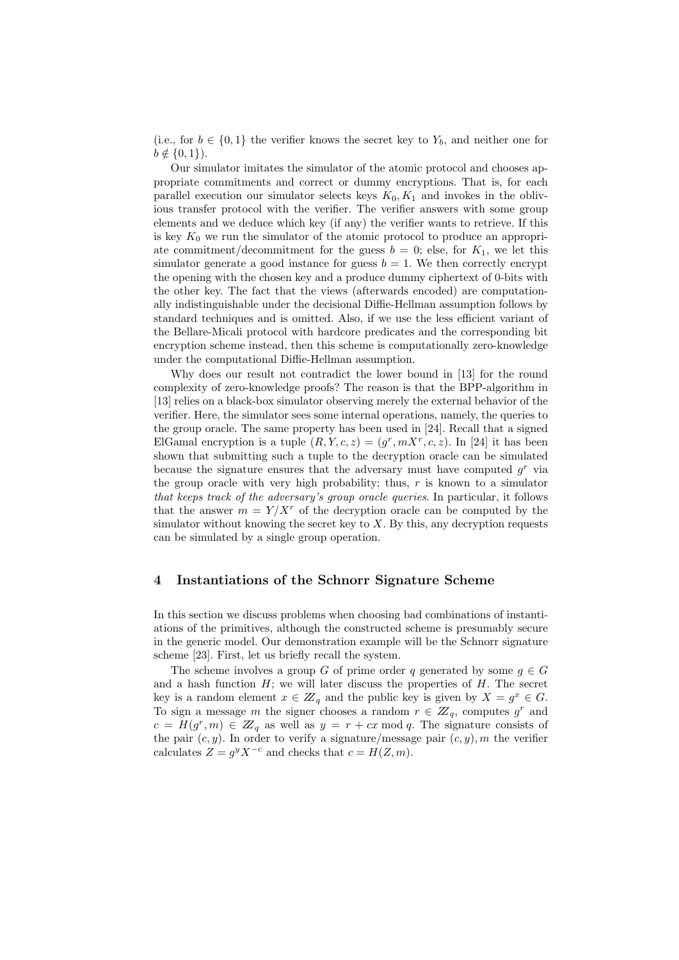(i.e., for  $b \in \{0,1\}$  the verifier knows the secret key to  $Y_b$ , and neither one for  $b \notin \{0, 1\}.$ 

Our simulator imitates the simulator of the atomic protocol and chooses appropriate commitments and correct or dummy encryptions. That is, for each parallel execution our simulator selects keys  $K_0, K_1$  and invokes in the oblivious transfer protocol with the verifier. The verifier answers with some group elements and we deduce which key (if any) the verifier wants to retrieve. If this is key  $K_0$  we run the simulator of the atomic protocol to produce an appropriate commitment/decommitment for the guess  $b = 0$ ; else, for  $K_1$ , we let this simulator generate a good instance for guess  $b = 1$ . We then correctly encrypt the opening with the chosen key and a produce dummy ciphertext of 0-bits with the other key. The fact that the views (afterwards encoded) are computationally indistinguishable under the decisional Diffie-Hellman assumption follows by standard techniques and is omitted. Also, if we use the less efficient variant of the Bellare-Micali protocol with hardcore predicates and the corresponding bit encryption scheme instead, then this scheme is computationally zero-knowledge under the computational Diffie-Hellman assumption.

Why does our result not contradict the lower bound in [13] for the round complexity of zero-knowledge proofs? The reason is that the BPP-algorithm in [13] relies on a black-box simulator observing merely the external behavior of the verifier. Here, the simulator sees some internal operations, namely, the queries to the group oracle. The same property has been used in [24]. Recall that a signed ElGamal encryption is a tuple  $(R, Y, c, z) = (g^r, mX^r, c, z)$ . In [24] it has been shown that submitting such a tuple to the decryption oracle can be simulated because the signature ensures that the adversary must have computed  $g<sup>r</sup>$  via the group oracle with very high probability; thus,  $r$  is known to a simulator that keeps track of the adversary's group oracle queries. In particular, it follows that the answer  $m = Y/X^r$  of the decryption oracle can be computed by the simulator without knowing the secret key to  $X$ . By this, any decryption requests can be simulated by a single group operation.

#### 4 Instantiations of the Schnorr Signature Scheme

In this section we discuss problems when choosing bad combinations of instantiations of the primitives, although the constructed scheme is presumably secure in the generic model. Our demonstration example will be the Schnorr signature scheme [23]. First, let us briefly recall the system.

The scheme involves a group G of prime order q generated by some  $g \in G$ and a hash function  $H$ ; we will later discuss the properties of  $H$ . The secret key is a random element  $x \in \mathbb{Z}_q$  and the public key is given by  $X = g^x \in G$ . To sign a message m the signer chooses a random  $r \in \mathbb{Z}_q$ , computes  $g^r$  and  $c = H(g^r, m) \in \mathbb{Z}_q$  as well as  $y = r + cx \mod q$ . The signature consists of the pair  $(c, y)$ . In order to verify a signature/message pair  $(c, y)$ , m the verifier calculates  $Z = g^y X^{-c}$  and checks that  $c = H(Z, m)$ .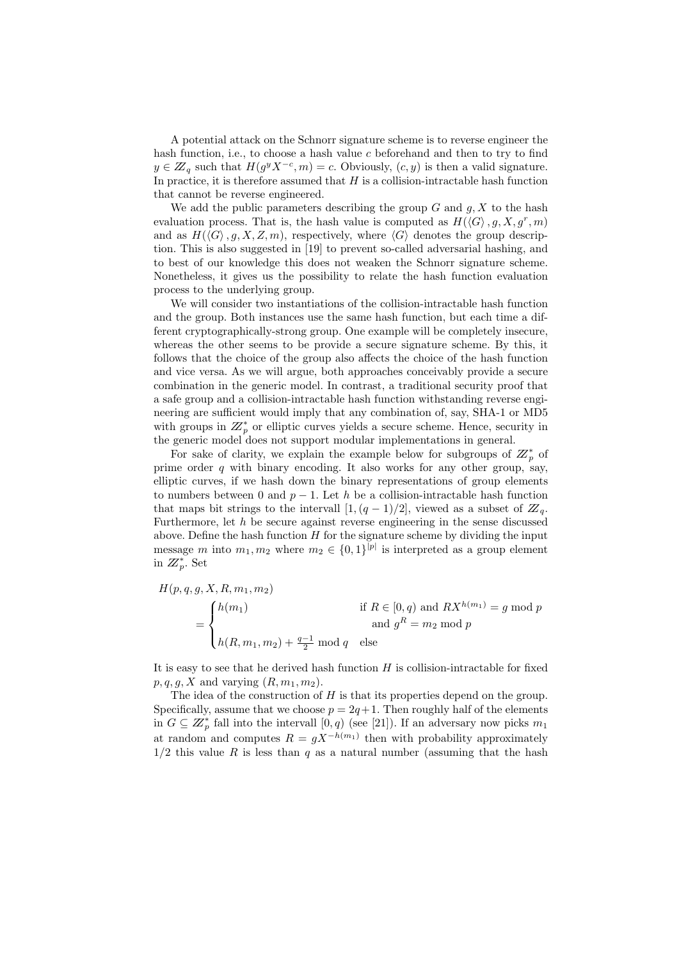A potential attack on the Schnorr signature scheme is to reverse engineer the hash function, i.e., to choose a hash value  $c$  beforehand and then to try to find  $y \in \mathbb{Z}_q$  such that  $H(g^y X^{-c}, m) = c$ . Obviously,  $(c, y)$  is then a valid signature. In practice, it is therefore assumed that  $H$  is a collision-intractable hash function that cannot be reverse engineered.

We add the public parameters describing the group  $G$  and  $g, X$  to the hash evaluation process. That is, the hash value is computed as  $H(\langle G \rangle, g, X, g^r, m)$ and as  $H(\langle G \rangle, g, X, Z, m)$ , respectively, where  $\langle G \rangle$  denotes the group description. This is also suggested in [19] to prevent so-called adversarial hashing, and to best of our knowledge this does not weaken the Schnorr signature scheme. Nonetheless, it gives us the possibility to relate the hash function evaluation process to the underlying group.

We will consider two instantiations of the collision-intractable hash function and the group. Both instances use the same hash function, but each time a different cryptographically-strong group. One example will be completely insecure, whereas the other seems to be provide a secure signature scheme. By this, it follows that the choice of the group also affects the choice of the hash function and vice versa. As we will argue, both approaches conceivably provide a secure combination in the generic model. In contrast, a traditional security proof that a safe group and a collision-intractable hash function withstanding reverse engineering are sufficient would imply that any combination of, say, SHA-1 or MD5 with groups in  $\mathbb{Z}_p^*$  or elliptic curves yields a secure scheme. Hence, security in the generic model does not support modular implementations in general.

For sake of clarity, we explain the example below for subgroups of  $\mathbb{Z}_p^*$  of prime order  $q$  with binary encoding. It also works for any other group, say, elliptic curves, if we hash down the binary representations of group elements to numbers between 0 and  $p-1$ . Let h be a collision-intractable hash function that maps bit strings to the intervall  $[1,(q-1)/2]$ , viewed as a subset of  $\mathbb{Z}_q$ . Furthermore, let h be secure against reverse engineering in the sense discussed above. Define the hash function  $H$  for the signature scheme by dividing the input message m into  $m_1, m_2$  where  $m_2 \in \{0, 1\}^{|p|}$  is interpreted as a group element in  $\mathbb{Z}_p^*$ . Set

$$
H(p,q,g,X,R,m_1,m_2)
$$
  
\n
$$
= \begin{cases} h(m_1) & \text{if } R \in [0,q) \text{ and } RX^{h(m_1)} = g \text{ mod } p \\ & \text{and } g^R = m_2 \text{ mod } p \\ h(R,m_1,m_2) + \frac{q-1}{2} \text{ mod } q & \text{else} \end{cases}
$$

It is easy to see that he derived hash function  $H$  is collision-intractable for fixed  $p, q, q, X$  and varying  $(R, m_1, m_2)$ .

The idea of the construction of  $H$  is that its properties depend on the group. Specifically, assume that we choose  $p = 2q + 1$ . Then roughly half of the elements in  $G \subseteq \mathbb{Z}_p^*$  fall into the intervall  $[0, q)$  (see [21]). If an adversary now picks  $m_1$ at random and computes  $R = gX^{-h(m_1)}$  then with probability approximately  $1/2$  this value R is less than q as a natural number (assuming that the hash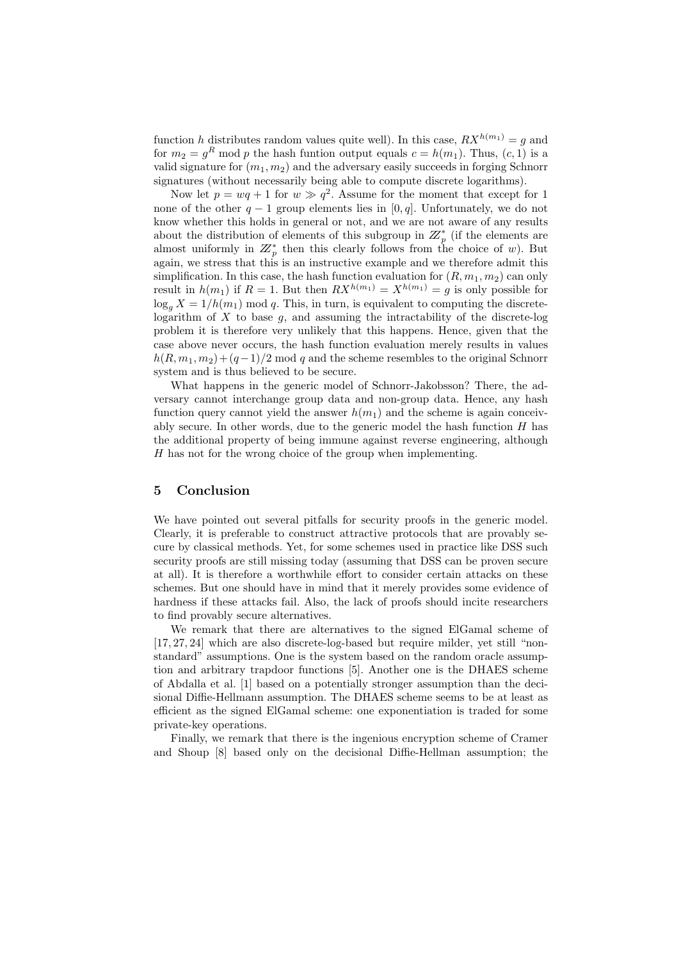function h distributes random values quite well). In this case,  $RX^{h(m_1)} = q$  and for  $m_2 = g^R \mod p$  the hash funtion output equals  $c = h(m_1)$ . Thus,  $(c, 1)$  is a valid signature for  $(m_1, m_2)$  and the adversary easily succeeds in forging Schnorr signatures (without necessarily being able to compute discrete logarithms).

Now let  $p = wq + 1$  for  $w \gg q^2$ . Assume for the moment that except for 1 none of the other  $q - 1$  group elements lies in [0, q]. Unfortunately, we do not know whether this holds in general or not, and we are not aware of any results about the distribution of elements of this subgroup in  $\mathbb{Z}_p^*$  (if the elements are almost uniformly in  $\mathbb{Z}_p^*$  then this clearly follows from the choice of w). But again, we stress that this is an instructive example and we therefore admit this simplification. In this case, the hash function evaluation for  $(R, m_1, m_2)$  can only result in  $h(m_1)$  if  $R = 1$ . But then  $RX^{h(m_1)} = X^{h(m_1)} = g$  is only possible for  $\log_q X = 1/h(m_1) \mod q$ . This, in turn, is equivalent to computing the discretelogarithm of  $X$  to base  $g$ , and assuming the intractability of the discrete-log problem it is therefore very unlikely that this happens. Hence, given that the case above never occurs, the hash function evaluation merely results in values  $h(R, m_1, m_2) + (q-1)/2 \mod q$  and the scheme resembles to the original Schnorr system and is thus believed to be secure.

What happens in the generic model of Schnorr-Jakobsson? There, the adversary cannot interchange group data and non-group data. Hence, any hash function query cannot yield the answer  $h(m_1)$  and the scheme is again conceivably secure. In other words, due to the generic model the hash function  $H$  has the additional property of being immune against reverse engineering, although H has not for the wrong choice of the group when implementing.

#### 5 Conclusion

We have pointed out several pitfalls for security proofs in the generic model. Clearly, it is preferable to construct attractive protocols that are provably secure by classical methods. Yet, for some schemes used in practice like DSS such security proofs are still missing today (assuming that DSS can be proven secure at all). It is therefore a worthwhile effort to consider certain attacks on these schemes. But one should have in mind that it merely provides some evidence of hardness if these attacks fail. Also, the lack of proofs should incite researchers to find provably secure alternatives.

We remark that there are alternatives to the signed ElGamal scheme of [17, 27, 24] which are also discrete-log-based but require milder, yet still "nonstandard" assumptions. One is the system based on the random oracle assumption and arbitrary trapdoor functions [5]. Another one is the DHAES scheme of Abdalla et al. [1] based on a potentially stronger assumption than the decisional Diffie-Hellmann assumption. The DHAES scheme seems to be at least as efficient as the signed ElGamal scheme: one exponentiation is traded for some private-key operations.

Finally, we remark that there is the ingenious encryption scheme of Cramer and Shoup [8] based only on the decisional Diffie-Hellman assumption; the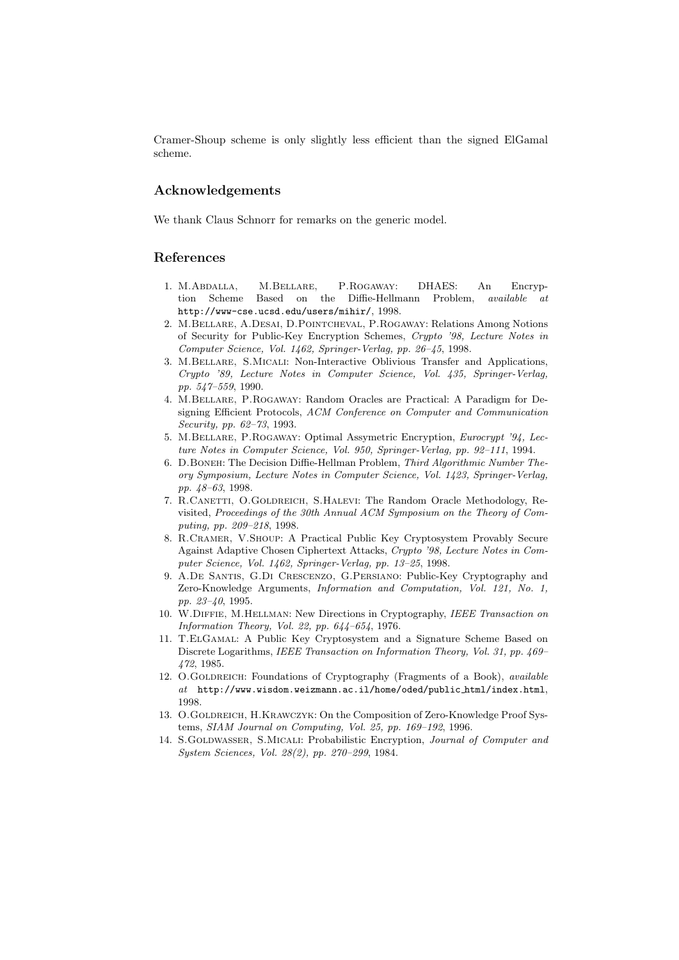Cramer-Shoup scheme is only slightly less efficient than the signed ElGamal scheme.

#### Acknowledgements

We thank Claus Schnorr for remarks on the generic model.

## References

- 1. M.Abdalla, M.Bellare, P.Rogaway: DHAES: An Encryption Scheme Based on the Diffie-Hellmann Problem, available at http://www-cse.ucsd.edu/users/mihir/, 1998.
- 2. M.Bellare, A.Desai, D.Pointcheval, P.Rogaway: Relations Among Notions of Security for Public-Key Encryption Schemes, Crypto '98, Lecture Notes in Computer Science, Vol. 1462, Springer-Verlag, pp. 26–45, 1998.
- 3. M.Bellare, S.Micali: Non-Interactive Oblivious Transfer and Applications, Crypto '89, Lecture Notes in Computer Science, Vol. 435, Springer-Verlag, pp. 547–559, 1990.
- 4. M.Bellare, P.Rogaway: Random Oracles are Practical: A Paradigm for Designing Efficient Protocols, ACM Conference on Computer and Communication Security, pp. 62–73, 1993.
- 5. M.Bellare, P.Rogaway: Optimal Assymetric Encryption, Eurocrypt '94, Lecture Notes in Computer Science, Vol. 950, Springer-Verlag, pp. 92–111, 1994.
- 6. D.Boneh: The Decision Diffie-Hellman Problem, Third Algorithmic Number Theory Symposium, Lecture Notes in Computer Science, Vol. 1423, Springer-Verlag, pp. 48–63, 1998.
- 7. R.Canetti, O.Goldreich, S.Halevi: The Random Oracle Methodology, Revisited, Proceedings of the 30th Annual ACM Symposium on the Theory of Computing, pp. 209–218, 1998.
- 8. R.Cramer, V.Shoup: A Practical Public Key Cryptosystem Provably Secure Against Adaptive Chosen Ciphertext Attacks, Crypto '98, Lecture Notes in Computer Science, Vol. 1462, Springer-Verlag, pp. 13–25, 1998.
- 9. A.De Santis, G.Di Crescenzo, G.Persiano: Public-Key Cryptography and Zero-Knowledge Arguments, Information and Computation, Vol. 121, No. 1, pp. 23–40, 1995.
- 10. W.Diffie, M.Hellman: New Directions in Cryptography, IEEE Transaction on Information Theory, Vol. 22, pp. 644–654, 1976.
- 11. T.ElGamal: A Public Key Cryptosystem and a Signature Scheme Based on Discrete Logarithms, IEEE Transaction on Information Theory, Vol. 31, pp. 469– 472, 1985.
- 12. O.GOLDREICH: Foundations of Cryptography (Fragments of a Book), available at http://www.wisdom.weizmann.ac.il/home/oded/public html/index.html, 1998.
- 13. O.Goldreich, H.Krawczyk: On the Composition of Zero-Knowledge Proof Systems, SIAM Journal on Computing, Vol. 25, pp. 169–192, 1996.
- 14. S.GOLDWASSER, S.MICALI: Probabilistic Encryption, Journal of Computer and System Sciences, Vol. 28(2), pp. 270–299, 1984.